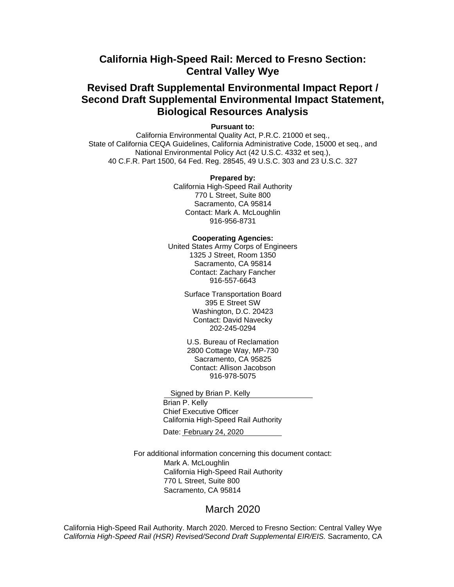# **California High-Speed Rail: Merced to Fresno Section: Central Valley Wye**

# **Revised Draft Supplemental Environmental Impact Report / Second Draft Supplemental Environmental Impact Statement, Biological Resources Analysis**

**Pursuant to:**

California Environmental Quality Act, P.R.C. 21000 et seq., State of California CEQA Guidelines, California Administrative Code, 15000 et seq., and National Environmental Policy Act (42 U.S.C. 4332 et seq.), 40 C.F.R. Part 1500, 64 Fed. Reg. 28545, 49 U.S.C. 303 and 23 U.S.C. 327

#### **Prepared by:**

California High-Speed Rail Authority 770 L Street, Suite 800 Sacramento, CA 95814 Contact: Mark A. McLoughlin 916-956-8731

### **Cooperating Agencies:**

United States Army Corps of Engineers 1325 J Street, Room 1350 Sacramento, CA 95814 Contact: Zachary Fancher 916-557-6643

> Surface Transportation Board 395 E Street SW Washington, D.C. 20423 Contact: David Navecky 202-245-0294

U.S. Bureau of Reclamation 2800 Cottage Way, MP-730 Sacramento, CA 95825 Contact: Allison Jacobson 916-978-5075

Signed by Brian P. Kelly

Brian P. Kelly Chief Executive Officer California High-Speed Rail Authority

Date: February 24, 2020

For additional information concerning this document contact: Mark A. McLoughlin California High-Speed Rail Authority 770 L Street, Suite 800 Sacramento, CA 95814

### March 2020

California High-Speed Rail Authority. March 2020. Merced to Fresno Section: Central Valley Wye *California High-Speed Rail (HSR) Revised/Second Draft Supplemental EIR/EIS.* Sacramento, CA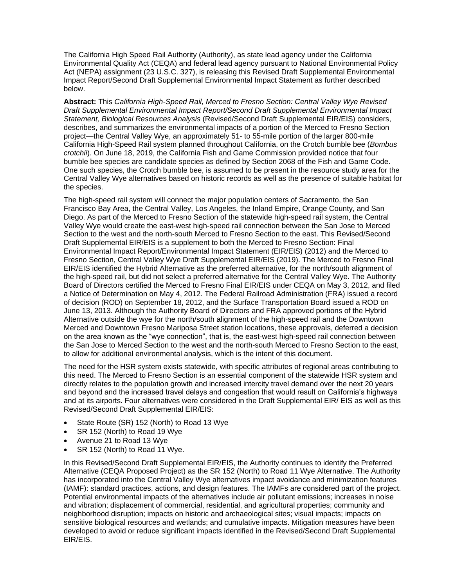The California High Speed Rail Authority (Authority), as state lead agency under the California Environmental Quality Act (CEQA) and federal lead agency pursuant to National Environmental Policy Act (NEPA) assignment (23 U.S.C. 327), is releasing this Revised Draft Supplemental Environmental Impact Report/Second Draft Supplemental Environmental Impact Statement as further described below.

**Abstract:** This *California High-Speed Rail, Merced to Fresno Section: Central Valley Wye Revised Draft Supplemental Environmental Impact Report/Second Draft Supplemental Environmental Impact Statement, Biological Resources Analysis* (Revised/Second Draft Supplemental EIR/EIS) considers, describes, and summarizes the environmental impacts of a portion of the Merced to Fresno Section project—the Central Valley Wye, an approximately 51- to 55-mile portion of the larger 800-mile California High-Speed Rail system planned throughout California, on the Crotch bumble bee (*Bombus crotchii*). On June 18, 2019, the California Fish and Game Commission provided notice that four bumble bee species are candidate species as defined by Section 2068 of the Fish and Game Code. One such species, the Crotch bumble bee, is assumed to be present in the resource study area for the Central Valley Wye alternatives based on historic records as well as the presence of suitable habitat for the species.

The high-speed rail system will connect the major population centers of Sacramento, the San Francisco Bay Area, the Central Valley, Los Angeles, the Inland Empire, Orange County, and San Diego. As part of the Merced to Fresno Section of the statewide high-speed rail system, the Central Valley Wye would create the east-west high-speed rail connection between the San Jose to Merced Section to the west and the north-south Merced to Fresno Section to the east. This Revised/Second Draft Supplemental EIR/EIS is a supplement to both the Merced to Fresno Section: Final Environmental Impact Report/Environmental Impact Statement (EIR/EIS) (2012) and the Merced to Fresno Section, Central Valley Wye Draft Supplemental EIR/EIS (2019). The Merced to Fresno Final EIR/EIS identified the Hybrid Alternative as the preferred alternative, for the north/south alignment of the high-speed rail, but did not select a preferred alternative for the Central Valley Wye. The Authority Board of Directors certified the Merced to Fresno Final EIR/EIS under CEQA on May 3, 2012, and filed a Notice of Determination on May 4, 2012. The Federal Railroad Administration (FRA) issued a record of decision (ROD) on September 18, 2012, and the Surface Transportation Board issued a ROD on June 13, 2013. Although the Authority Board of Directors and FRA approved portions of the Hybrid Alternative outside the wye for the north/south alignment of the high‐speed rail and the Downtown Merced and Downtown Fresno Mariposa Street station locations, these approvals, deferred a decision on the area known as the "wye connection", that is, the east-west high-speed rail connection between the San Jose to Merced Section to the west and the north-south Merced to Fresno Section to the east, to allow for additional environmental analysis, which is the intent of this document.

The need for the HSR system exists statewide, with specific attributes of regional areas contributing to this need. The Merced to Fresno Section is an essential component of the statewide HSR system and directly relates to the population growth and increased intercity travel demand over the next 20 years and beyond and the increased travel delays and congestion that would result on California's highways and at its airports. Four alternatives were considered in the Draft Supplemental EIR/ EIS as well as this Revised/Second Draft Supplemental EIR/EIS:

- State Route (SR) 152 (North) to Road 13 Wye
- SR 152 (North) to Road 19 Wye
- Avenue 21 to Road 13 Wye
- SR 152 (North) to Road 11 Wye.

In this Revised/Second Draft Supplemental EIR/EIS, the Authority continues to identify the Preferred Alternative (CEQA Proposed Project) as the SR 152 (North) to Road 11 Wye Alternative. The Authority has incorporated into the Central Valley Wye alternatives impact avoidance and minimization features (IAMF): standard practices, actions, and design features. The IAMFs are considered part of the project. Potential environmental impacts of the alternatives include air pollutant emissions; increases in noise and vibration; displacement of commercial, residential, and agricultural properties; community and neighborhood disruption; impacts on historic and archaeological sites; visual impacts; impacts on sensitive biological resources and wetlands; and cumulative impacts. Mitigation measures have been developed to avoid or reduce significant impacts identified in the Revised/Second Draft Supplemental EIR/EIS.